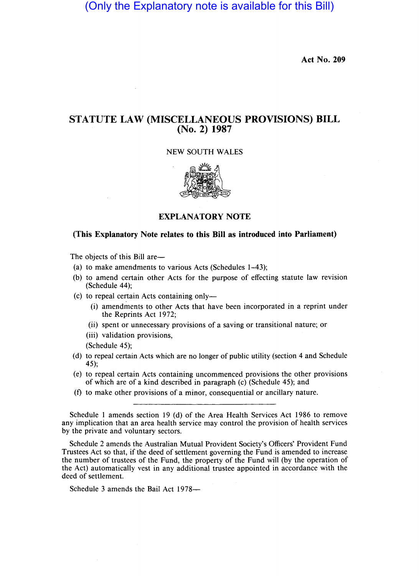(Only the Explanatory note is available for this Bill)

**Act No. 209** 

## **STATUTE LAW (MISCELLANEOUS PROVISIONS) BILL (No. 2) 1987**

NEW SOUTH WALES



**EXPLANATORY NOTE** 

## **(This Explanatory Note relates to this Bill as introduced into Parliament)**

The objects of this Bill are—

- (a) to make amendments to various Acts (Schedules 1-43);
- (b) to amend certain other Acts for the purpose of effecting statute law revision (Schedule 44);
- (c) to repeal certain Acts containing only-
	- (i) amendments to other Acts that have been incorporated in a reprint under the Reprints Act 1972;
	- (ii) spent or unnecessary provisions of a saving or transitional nature; or
	- (iii) validation provisions,

(Schedule 45);

- (d) to repeal certain Acts which are no longer of public utility (section 4 and Schedule 45);
- (e) to repeal certain Acts containing uncommenced provisions the other provisions of which are of a kind described in paragraph (c) (Schedule 45); and
- (f) to make other provisions of a minor, consequential or ancillary nature.

Schedule 2 amends the Australian Mutual Provident Society's Officers' Provident Fund Trustees Act so that, if the deed of settlement governing the Fund is amended to increase the number of trustees of the Fund, the property of the Fund will (by the operation of the Act) automatically vest in any additional trustee appointed in accordance with the deed of settlement.

Schedule 3 amends the Bail Act 1978-

Schedule 1 amends section 19 (d) of the Area Health Services Act 1986 to remove any implication that an area health service may control the provision of health services by the private and voluntary sectors.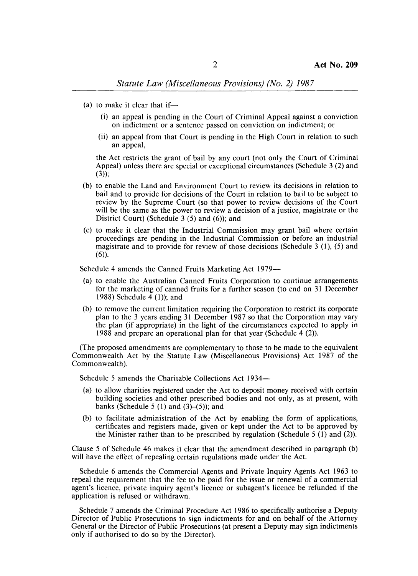- (a) to make it clear that if-
	- (i) an appeal is pending in the Court of Criminal Appeal against a conviction on indictment or a sentence passed on conviction on indictment; or
	- (ii) an appeal from that Court is pending in the High Court in relation to such an appeal,

the Act restricts the grant of bail by any court (not only the Court of Criminal Appeal) unless there are special or exceptional circumstances (Schedule 3 (2) and  $(3)$ ;

- (b) to enable the Land and Environment Court to review its decisions in relation to bail and to provide for decisions of the Court in relation to bail to be subject to review by the Supreme Court (so that power to review decisions of the Court will be the same as the power to review a decision of a justice, magistrate or the District Court) (Schedule  $3(5)$  and  $(6)$ ); and
- (c) to make it clear that the Industrial Commission may grant bail where certain proceedings are pending in the Industrial Commission or before an industrial magistrate and to provide for review of those decisions (Schedule 3 (1), (5) and  $(6)$ ).

Schedule 4 amends the Canned Fruits Marketing Act 1979-

- (a) to enable the Australian Canned Fruits Corporation to continue arrangements for the marketing of canned fruits for a further season (to end on 31 December 1988) Schedule  $\overline{4}$  (1)); and
- (b) to remove the current limitation requiring the Corporation to restrict its corporate plan to the 3 years ending 31 December 1987 so that the Corporation may vary the plan (if appropriate) in the light of the circumstances expected to apply in 1988 and prepare an operational plan for that year (Schedule 4 (2)).

(The proposed amendments are complementary to those to be made to the equivalent Commonwealth Act by the Statute Law (Miscellaneous Provisions) Act 1987 of the Commonwealth).

Schedule 5 amends the Charitable Collections Act 1934—

- (a) to allow charities registered under the Act to deposit money received with certain building societies and other prescribed bodies and not only, as at present, with banks (Schedule 5 (1) and  $(3)$ – $(5)$ ); and
- (b) to facilitate administration of the Act by enabling the form of applications, certificates and registers made, given or kept under the Act to be approved by the Minister rather than to be prescribed by regulation (Schedule 5  $(1)$  and  $(2)$ ).

Clause 5 of Schedule 46 makes it clear that the amendment described in paragraph (b) will have the effect of repealing certain regulations made under the Act.

Schedule 6 amends the Commercial Agents and Private Inquiry Agents Act 1963 to repeal the requirement that the fee to be paid for the issue or renewal of a commercial agent's licence, private inquiry agent's licence or subagent's licence be refunded if the application is refused or withdrawn.

Schedule 7 amends the Criminal Procedure Act 1986 to specifically authorise a Deputy Director of Public Prosecutions to sign indictments for and on behalf of the Attorney General or the Director of Public Prosecutions (at present a Deputy may sign indictments only if authorised to do so by the Director).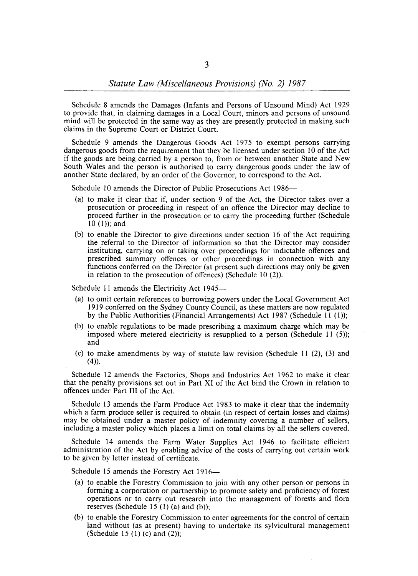Schedule 8 amends the Damages (Infants and Persons of Unsound Mind) Act 1929 to provide that, in claiming damages in a Local Court, minors and persons of unsound mind will be protected in the same way as they are presently protected in making such claims in the Supreme Court or District Court.

Schedule 9 amends the Dangerous Goods Act 1975 to exempt persons carrying dangerous goods from the requirement that they be licensed under section 10 of the Act if the goods are being carried by a person to, from or between another State and New South Wales and the person is authorised to carry dangerous goods under the law of another State declared, by an order of the Governor, to correspond to the Act.

Schedule 10 amends the Director of Public Prosecutions Act 1986—

- (a) to make it clear that if, under section 9 of the Act, the Director takes over a prosecution or proceeding in respect of an offence the Director may decline to proceed further in the prosecution or to carry the proceeding further (Schedule  $10$  (1)); and
- (b) to enable the Director to give directions under section 16 of the Act requiring the referral to the Director of information so that the Director may consider instituting, carrying on or taking over proceedings for indictable offences and prescribed summary offences or other proceedings in connection with any functions conferred on the Director (at present such directions may only be given in relation to the prosecution of offences) (Schedule 10 (2».

Schedule 11 amends the Electricity Act 1945-

- (a) to omit certain references to borrowing powers under the Local Government Act 1919 conferred on the Sydney County Council, as these matters are now regulated by the Public Authorities (Financial Arrangements) Act 1987 (Schedule 11 (1»;
- (b) to enable regulations to be made prescribing a maximum charge which may be imposed where metered electricity is resupplied to a person (Schedule 11  $(5)$ ); and
- (c) to make amendments by way of statute law revision (Schedule 11 (2), (3) and  $(4)$ ).

Schedule 12 amends the Factories, Shops and Industries Act 1962 to make it clear that the penalty provisions set out in Part XI of the Act bind the Crown in relation to offences under Part **III** of the Act.

Schedule 13 amends the Farm Produce Act 1983 to make it clear that the indemnity which a farm produce seller is required to obtain (in respect of certain losses and claims) may be obtained under a master policy of indemnity covering a number of sellers, including a master policy which places a limit on total claims by all the sellers covered.

Schedule 14 amends the Farm Water Supplies Act 1946 to facilitate efficient administration of the Act by enabling advice of the costs of carrying out certain work to be given by letter instead of certificate.

Schedule 15 amends the Forestry Act 1916-

- (a) to enable the Forestry Commission to join with any other person or persons in forming a corporation or partnership to promote safety and proficiency of forest operations or to carry out research into the management of forests and flora reserves (Schedule 15 $(1)$  (a) and (b));
- (b) to enable the Forestry Commission to enter agreements for the control of certain land without (as at present) having to undertake its sylvicultural management (Schedule 15  $(1)$  (c) and  $(2)$ );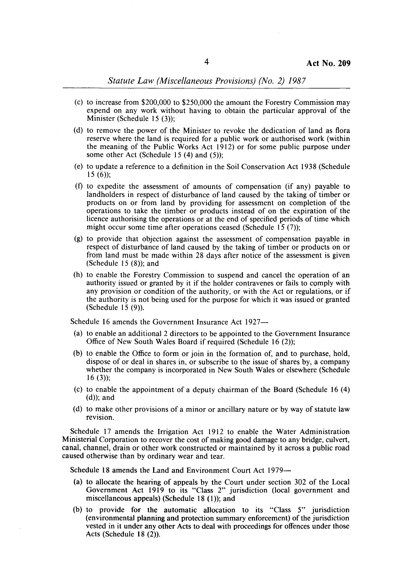## *Statute Law(Miscellaneous Provisions) (No.* 2) 1987

- (c) to increase from \$200,000 to \$250,000 the amount the Forestry Commission may expend on any work without having to obtain the particular approval of the Minister (Schedule 15 (3));
- (d) to remove the power of the Minister to revoke the dedication of land as flora reserve where the land is required for a public work or authorised work (within the meaning of the Public Works Act 1912) or for some public purpose under some other Act (Schedule 15 (4) and (5));
- (e) to update a reference to a definition in the Soil Conservation Act 1938 (Schedule  $15(6)$ ;
- (f) to expedite the assessment of amounts of compensation (if any) payable to landholders in respect of disturbance of land caused by the taking of timber or products on or from land by providing for assessment on completion of the operations to take the timber or products instead of on the expiration of the licence authorising the operations or at the end of specified periods of time which might occur some time after operations ceased (Schedule  $\overline{15}$  (7));
- (g) to provide that objection against the assessment of compensation payable in respect of disturbance of land caused by the taking of timber or products on or from land must be made within 28 days after notice of the assessment is given (Schedule  $15(8)$ ); and
- (h) to enable the Forestry Commission to suspend and cancel the operation of an authority issued or granted by it if the holder contravenes or fails to comply with any provision or condition of the authority, or with the Act or regulations, or if the authority is not being used for the purpose for which it was issued or granted (Schedule IS (9)).

Schedule 16 amends the Government Insurance Act 1927-

- (a) to enable an additional 2 directors to be appointed to the Government Insurance Office of New South Wales Board if required (Schedule 16 (2));
- (b) to enable the Office to form or join in the formation of, and to purchase, hold, dispose of or deal in shares in, or subscribe to the issue of shares by, a company whether the company is incorporated in New South Wales or elsewhere (Schedule 16 (3));
- (c) to enable the appointment of a deputy chairman of the Board (Schedule 16 (4) (d)); and
- (d) to make other provisions of a minor or ancillary nature or by way of statute law revision.

Schedule 17 amends the Irrigation Act 1912 to enable the Water Administration Ministerial Corporation to recover the cost of making good damage to any bridge, culvert, canal, channel, drain or other work constructed or maintained by it across a public road caused otherwise than by ordinary wear and tear.

Schedule 18 amends the Land and Environment Court Act 1979-

- (a) to allocate the hearing of appeals by the Court under section 302 of the Local Government Act 1919 to its "Class 2" jurisdiction (local government and miscellaneous appeals) (Schedule  $18$  (1)); and
- (b) to provide for the automatic allocation to its "Class 5" jurisdiction (environmental planning and protection summary enforcement) of the jurisdiction vested in it under any other Acts to deal with proceedings for offences under those Acts (Schedule 18 (2)).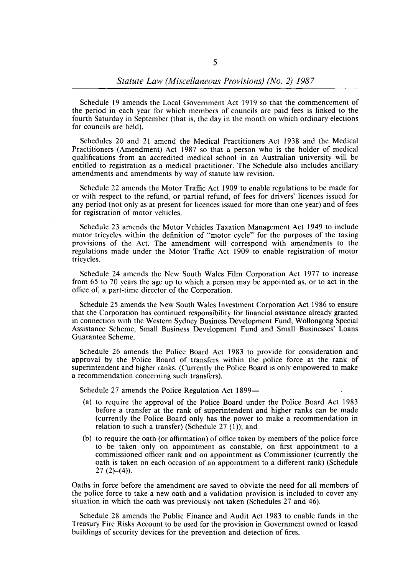Schedule 19 amends the Local Government Act 1919 so that the commencement of the period in each year for which members of councils are paid fees is linked to the fourth Saturday in September (that is, the day in the month on which ordinary elections for councils are held).

Schedules 20 and 21 amend the Medical Practitioners Act 1938 and the Medical Practitioners (Amendment) Act 1987 so that a person who is the holder of medical qualifications from an accredited medical school in an Australian university will be entitled to registration as a medical practitioner. The Schedule also includes ancillary amendments and amendments by way of statute law revision.

Schedule 22 amends the Motor Traffic Act 1909 to enable regulations to be made for or with respect to the refund, or partial refund, of fees for drivers' licences issued for any period (not only as at present for licences issued for more than one year) and of fees for registration of motor vehicles.

Schedule 23 amends the Motor Vehicles Taxation Management Act 1949 to include motor tricycles within the definition of "motor cycle" for the purposes of the taxing provisions of the Act. The amendment will correspond with amendments to the regulations made under the Motor Traffic Act 1909 to enable registration of motor tricycles.

Schedule 24 amends the New South Wales Film Corporation Act 1977 to increase from 65 to 70 years the age up to which a person may be appointed as, or to act in the office of, a part-time director of the Corporation.

Schedule 25 amends the New South Wales Investment Corporation Act 1986 to ensure that the Corporation has continued responsibility for financial assistance already granted in connection with the Western Sydney Business Development Fund, Wollongong Special Assistance Scheme, Small Business Development Fund and Small Businesses' Loans Guarantee Scheme.

Schedule 26 amends the Police Board Act 1983 to provide for consideration and approval by the Police Board of transfers within the police force at the rank of superintendent and higher ranks. (Currently the Police Board is only empowered to make a recommendation concerning such transfers).

Schedule 27 amends the Police Regulation Act 1899-

- (a) to require the approval of the Police Board under the Police Board Act 1983 before a transfer at the rank of superintendent and higher ranks can be made (currently the Police Board only has the power to make a recommendation in relation to such a transfer) (Schedule 27 (1)); and
- (b) to require the oath (or affirmation) of office taken by members of the police force to be taken only on appointment as constable, on first appointment to a commissioned officer rank and on appointment as Commissioner (currently the oath is taken on each occasion of an appointment to a different rank) (Schedule  $27(2)-(4)$ ).

Oaths in force before the amendment are saved to obviate the need for all members of the police force to take a new oath and a validation provision is included to cover any situation in which the oath was previously not taken (Schedules 27 and 46).

Schedule 28 amends the Public Finance and Audit Act 1983 to enable funds in the Treasury Fire Risks Account to be used for the provision in Government owned or leased buildings of security devices for the prevention and detection of fires.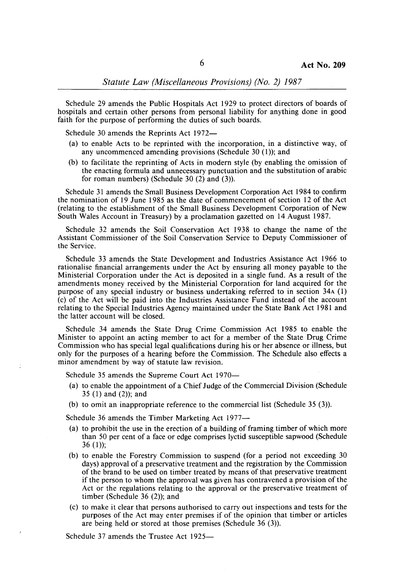Schedule 29 amends the Public Hospitals Act 1929 to protect directors of boards of hospitals and certain other persons from personal liability for anything done in good faith for the purpose of performing the duties of such boards.

Schedule 30 amends the Reprints Act 1972-

- (a) to enable Acts to be reprinted with the incorporation, in a distinctive way, of any uncommenced amending provisions (Schedule 30 (1)); and
- (b) to facilitate the reprinting of Acts in modern style (by enabling the omission of the enacting formula and unnecessary punctuation and the substitution of arabic for roman numbers) (Schedule 30 (2) and (3)).

Schedule 31 amends the Small Business Development Corporation Act 1984 to confirm the nomination of 19 June 1985 as the date of commencement of section 12 of the Act (relating to the establishment of the Small Business Development Corporation of New South Wales Account in Treasury) by a proclamation gazetted on 14 August 1987.

Schedule 32 amends the Soil Conservation Act 1938 to change the name of the Assistant Commissioner of the Soil Conservation Service to Deputy Commissioner of the Service.

Schedule 33 amends the State Development and Industries Assistance Act 1966 to rationalise financial arrangements under the Act by ensuring all money payable to the Ministerial Corporation under the Act is deposited in a single fund. As a result of the amendments money received by the Ministerial Corporation for land acquired for the purpose of any special industry or business undertaking referred to in section 34A (1) (c) of the Act will be paid into the Industries Assistance Fund instead of the account relating to the Special Industries Agency maintained under the State Bank Act 1981 and the latter account will be closed.

Schedule 34 amends the State Drug Crime Commission Act 1985 to enable the Minister to appoint an acting member to act for a member of the State Drug Crime Commission who has special legal qualifications during his or her absence or illness, but only for the purposes of a hearing before the Commission. The Schedule also effects a minor amendment by way of statute law revision.

Schedule 35 amends the Supreme Court Act 1970-

- (a) to enable the appointment of a Chief Judge of the Commercial Division (Schedule 35 $(1)$  and  $(2)$ ; and
- (b) to omit an inappropriate reference to the commercial list (Schedule 35 (3».

Schedule 36 amends the Timber Marketing Act 1977-

- (a) to prohibit the use in the erection of a building of framing timber of which more than 50 per cent of a face or edge comprises lyctid susceptible sapwood (Schedule 36 $(1)$ ;
- (b) to enable the Forestry Commission to suspend (for a period not exceeding 30 days) approval of a preservative treatment and the registration by the Commission of the brand to be used on timber treated by means of that preservative treatment if the person to whom the approval was given has contravened a provision of the Act or the regulations relating to the approval or the preservative treatment of timber (Schedule  $36$  (2)); and
- (c) to make it clear that persons authorised to carry out inspections and tests for the purposes of the Act may enter premises if of the opinion that timber or articles are being held or stored at those premises (Schedule 36 (3)).

Schedule 37 amends the Trustee Act 1925-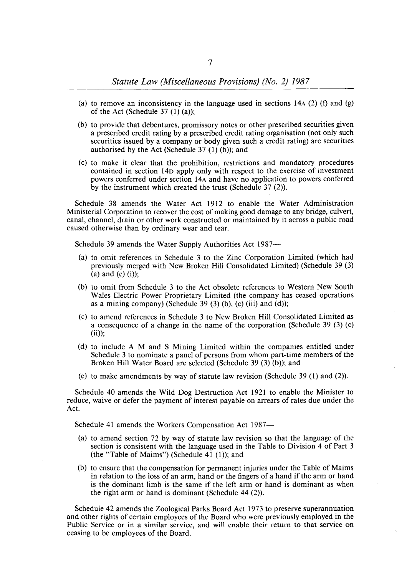## *Statute Law (Miscellaneous Provisions) (No.* 2) 1987

- (a) to remove an inconsistency in the language used in sections  $14A(2)$  (f) and (g) of the Act (Schedule  $37(1)(a)$ );
- (b) to provide that debentures, promissory notes or other prescribed securities given a prescribed credit rating by a prescribed credit rating organisation (not only such securities issued by a company or body given such a credit rating) are securities authorised by the Act (Schedule  $37(1)$  (b)); and
- (c) to make it clear that the prohibition, restrictions and mandatory procedures contained in section 14n apply only with respect to the exercise of investment powers conferred under section 14A and have no application to powers conferred by the instrument which created the trust (Schedule 37 (2)).

Schedule 38 amends the Water Act 1912 to enable the Water Administration Ministerial Corporation to recover the cost of making good damage to any bridge, culvert, canal, channel, drain or other work constructed or maintained by it across a public road caused otherwise than by ordinary wear and tear.

Schedule 39 amends the Water Supply Authorities Act 1987--

- (a) to omit references in Schedule 3 to the Zinc Corporation Limited (which had previously merged with New Broken Hill Consolidated Limited) (Schedule 39 (3) (a) and (c) (i));
- (b) to omit from Schedule 3 to the Act obsolete references to Western New South Wales Electric Power Proprietary Limited (the company has ceased operations as a mining company) (Schedule 39 $(3)$  (b), (c) (iii) and (d));
- (c) to amend references in Schedule 3 to New Broken Hill Consolidated Limited as a consequence of a change in the name of the corporation (Schedule 39 (3) (c)  $(ii)$ ;
- (d) to include A M and S Mining Limited within the companies entitled under Schedule 3 to nominate a panel of persons from whom part-time members of the Broken Hill Water Board are selected (Schedule 39 (3) (b)); and
- (e) to make amendments by way of statute law revision (Schedule  $39$  (1) and (2)).

Schedule 40 amends the Wild Dog Destruction Act 1921 to enable the Minister to reduce, waive or defer the payment of interest payable on arrears of rates due under the Act.

Schedule 41 amends the Workers Compensation Act 1987-

- (a) to amend section 72 by way of statute law revision so that the language of the section is consistent with the language used in the Table to Division 4 of Part 3 (the "Table of Maims") (Schedule  $4\overline{1}$  (1)); and
- (b) to ensure that the compensation for permanent injuries under the Table of Maims in relation to the loss of an arm, hand or the fingers of a hand if the arm or hand is the dominant limb is the same if the left arm or hand is dominant as when the right arm or hand is dominant (Schedule  $44$  (2)).

Schedule 42 amends the Zoological Parks Board Act 1973 to preserve superannuation and other rights of certain employees of the Board who were previously employed in the Public Service or in a similar service, and will enable their return to that service on ceasing to be employees of the Board.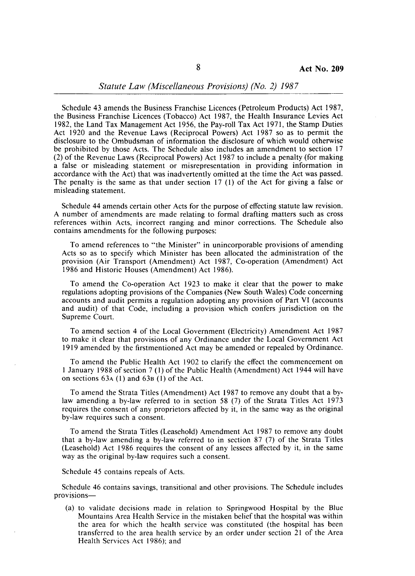Schedule 43 amends the Business Franchise Licences (Petroleum Products) Act 1987, the Business Franchise Licences (Tobacco) Act 1987, the Health Insurance Levies Act 1982, the Land Tax Management Act 1956, the Pay-roll Tax Act 1971, the Stamp Duties Act 1920 and the Revenue Laws (Reciprocal Powers) Act 1987 so as to permit the disclosure to the Ombudsman of information the disclosure of which would otherwise be prohibited by those Acts. The Schedule also includes an amendment to section 17 (2) of the Revenue Laws (Reciprocal Powers) Act 1987 to include a penalty (for making a false or misleading statement or misrepresentation in providing information in accordance with the Act) that was inadvertently omitted at the time the Act was passed. The penalty is the same as that under section 17 (l) of the Act for giving a false or misleading statement.

Schedule 44 amends certain other Acts for the purpose of effecting statute law revision. A number of amendments are made relating to formal drafting matters such as cross references within Acts, incorrect ranging and minor corrections. The Schedule also contains amendments for the following purposes:

To amend references to "the Minister" in unincorporable provisions of amending Acts so as to specify which Minister has been allocated the administration of the provision (Air Transport (Amendment) Act 1987, Co-operation (Amendment) Act 1986 and Historic Houses (Amendment) Act 1986).

To amend the Co-operation Act 1923 to make it clear that the power to make regulations adopting provisions of the Companies (New South Wales) Code concerning accounts and audit permits a regulation adopting any provision of Part VI (accounts and audit) of that Code, including a provision which confers jurisdiction on the Supreme Court.

To amend section 4 of the Local Government (Electricity) Amendment Act 1987 to make it clear that provisions of any Ordinance under the Local Government Act 1919 amended by the firstmentioned Act may be amended or repealed by Ordinance.

To amend the Public Health Act 1902 to clarify the effect the commencement on 1 January 1988 of section 7 (I) of the Public Health (Amendment) Act 1944 will have on sections 63A (I) and 638 (I) of the Act.

To amend the Strata Titles (Amendment) Act 1987 to remove any doubt that a bylaw amending a by-law referred to in section 58 (7) of the Strata Titles Act 1973 requires the consent of any proprietors affected by it, in the same way as the original by-law requires such a consent.

To amend the Strata Titles (Leasehold) Amendment Act 1987 to remove any doubt that a by-law amending a by-law referred to in section 87 (7) of the Strata Titles (Leasehold) Act 1986 requires the consent of any lessees affected by it, in the same way as the original by-law requires such a consent.

Schedule 45 contains repeals of Acts.

Schedule 46 contains savings, transitional and other provisions. The Schedule includes provisions-

(a) to validate decisions made in relation to Springwood Hospital by the Blue Mountains Area Health Service in the mistaken belief that the hospital was within the area for which the health service was constituted (the hospital has been transferred to the area health service by an order under section 21 of the Area Health Services Act 1986); and